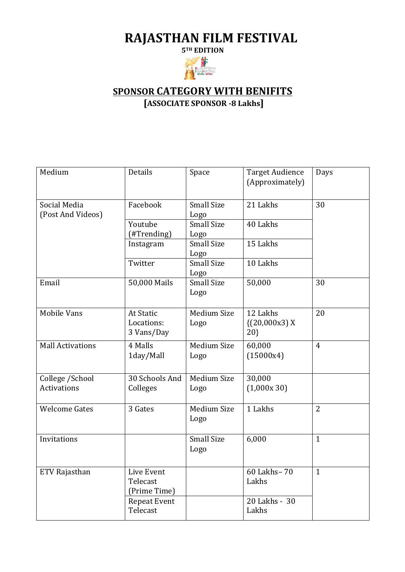## **RAJASTHAN FILM FESTIVAL**

**5TH EDITION**



## **SPONSOR CATEGORY WITH BENIFITS**

**[ASSOCIATE SPONSOR -8 Lakhs]**

| Medium                                | Details                                      | Space                      | <b>Target Audience</b><br>(Approximately) | Days           |
|---------------------------------------|----------------------------------------------|----------------------------|-------------------------------------------|----------------|
| Social Media<br>(Post And Videos)     | Facebook                                     | <b>Small Size</b><br>Logo  | 21 Lakhs                                  | 30             |
|                                       | Youtube<br>(#Trending)                       | <b>Small Size</b><br>Logo  | 40 Lakhs                                  |                |
|                                       | Instagram                                    | <b>Small Size</b><br>Logo  | 15 Lakhs                                  |                |
|                                       | Twitter                                      | <b>Small Size</b><br>Logo  | 10 Lakhs                                  |                |
| Email                                 | 50,000 Mails                                 | Small Size<br>Logo         | 50,000                                    | 30             |
| <b>Mobile Vans</b>                    | <b>At Static</b><br>Locations:<br>3 Vans/Day | <b>Medium Size</b><br>Logo | 12 Lakhs<br>(20,000x3)X<br>20             | 20             |
| <b>Mall Activations</b>               | 4 Malls<br>1day/Mall                         | <b>Medium Size</b><br>Logo | 60,000<br>(15000x4)                       | $\overline{4}$ |
| College /School<br><b>Activations</b> | 30 Schools And<br>Colleges                   | Medium Size<br>Logo        | 30,000<br>(1,000x30)                      |                |
| <b>Welcome Gates</b>                  | 3 Gates                                      | <b>Medium Size</b><br>Logo | 1 Lakhs                                   | 2              |
| Invitations                           |                                              | <b>Small Size</b><br>Logo  | 6,000                                     | $\mathbf{1}$   |
| ETV Rajasthan                         | Live Event<br>Telecast<br>(Prime Time)       |                            | 60 Lakhs-70<br>Lakhs                      | $\mathbf{1}$   |
|                                       | <b>Repeat Event</b><br>Telecast              |                            | 20 Lakhs - 30<br>Lakhs                    |                |